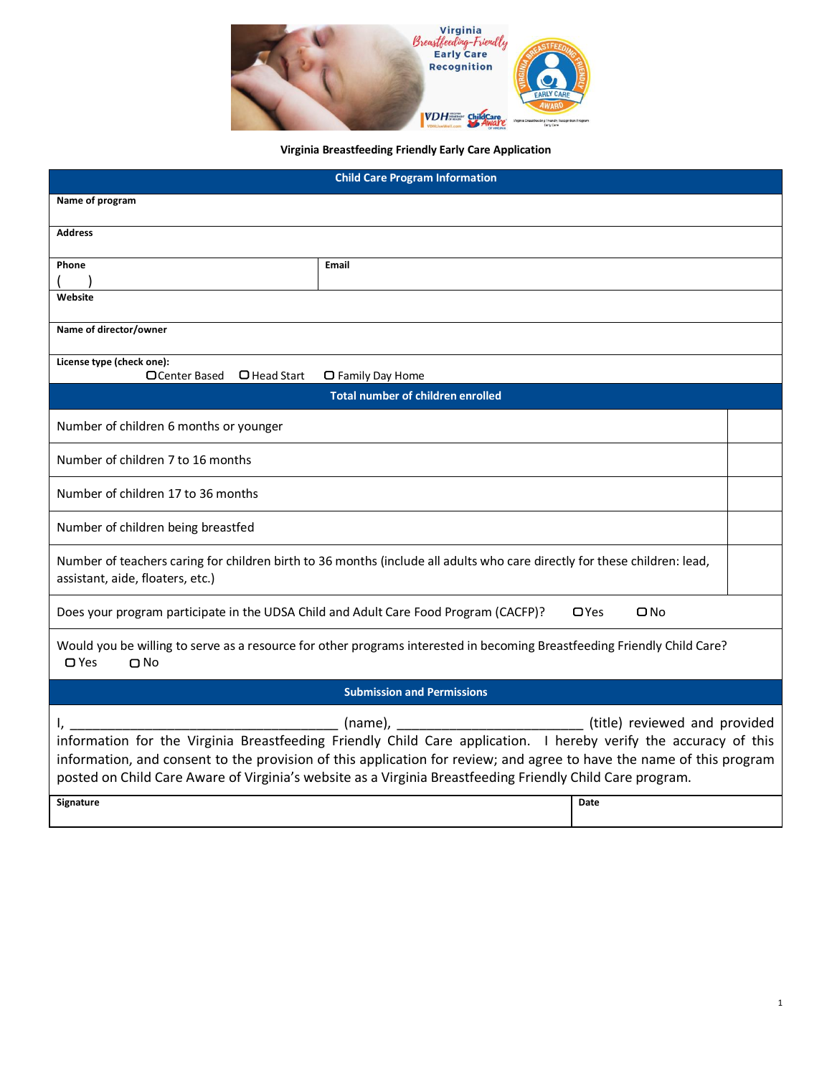

## **Virginia Breastfeeding Friendly Early Care Application**

| <b>Child Care Program Information</b>                                                                                                                                                                                                                                                                                                                                                                                  |       |  |  |
|------------------------------------------------------------------------------------------------------------------------------------------------------------------------------------------------------------------------------------------------------------------------------------------------------------------------------------------------------------------------------------------------------------------------|-------|--|--|
| Name of program                                                                                                                                                                                                                                                                                                                                                                                                        |       |  |  |
| <b>Address</b>                                                                                                                                                                                                                                                                                                                                                                                                         |       |  |  |
| Phone                                                                                                                                                                                                                                                                                                                                                                                                                  | Email |  |  |
|                                                                                                                                                                                                                                                                                                                                                                                                                        |       |  |  |
| Website                                                                                                                                                                                                                                                                                                                                                                                                                |       |  |  |
| Name of director/owner                                                                                                                                                                                                                                                                                                                                                                                                 |       |  |  |
| License type (check one):<br>□ Center Based<br>$\Box$ Head Start<br>□ Family Day Home                                                                                                                                                                                                                                                                                                                                  |       |  |  |
| <b>Total number of children enrolled</b>                                                                                                                                                                                                                                                                                                                                                                               |       |  |  |
| Number of children 6 months or younger                                                                                                                                                                                                                                                                                                                                                                                 |       |  |  |
| Number of children 7 to 16 months                                                                                                                                                                                                                                                                                                                                                                                      |       |  |  |
| Number of children 17 to 36 months                                                                                                                                                                                                                                                                                                                                                                                     |       |  |  |
| Number of children being breastfed                                                                                                                                                                                                                                                                                                                                                                                     |       |  |  |
| Number of teachers caring for children birth to 36 months (include all adults who care directly for these children: lead,<br>assistant, aide, floaters, etc.)                                                                                                                                                                                                                                                          |       |  |  |
| $\Box$ Yes<br>$\square$ No<br>Does your program participate in the UDSA Child and Adult Care Food Program (CACFP)?                                                                                                                                                                                                                                                                                                     |       |  |  |
| Would you be willing to serve as a resource for other programs interested in becoming Breastfeeding Friendly Child Care?<br>$\Box$ Yes<br>$\Box$ No                                                                                                                                                                                                                                                                    |       |  |  |
| <b>Submission and Permissions</b>                                                                                                                                                                                                                                                                                                                                                                                      |       |  |  |
| (title) reviewed and provided<br>(name),<br>information for the Virginia Breastfeeding Friendly Child Care application. I hereby verify the accuracy of this<br>information, and consent to the provision of this application for review; and agree to have the name of this program<br>posted on Child Care Aware of Virginia's website as a Virginia Breastfeeding Friendly Child Care program.<br>Signature<br>Date |       |  |  |
|                                                                                                                                                                                                                                                                                                                                                                                                                        |       |  |  |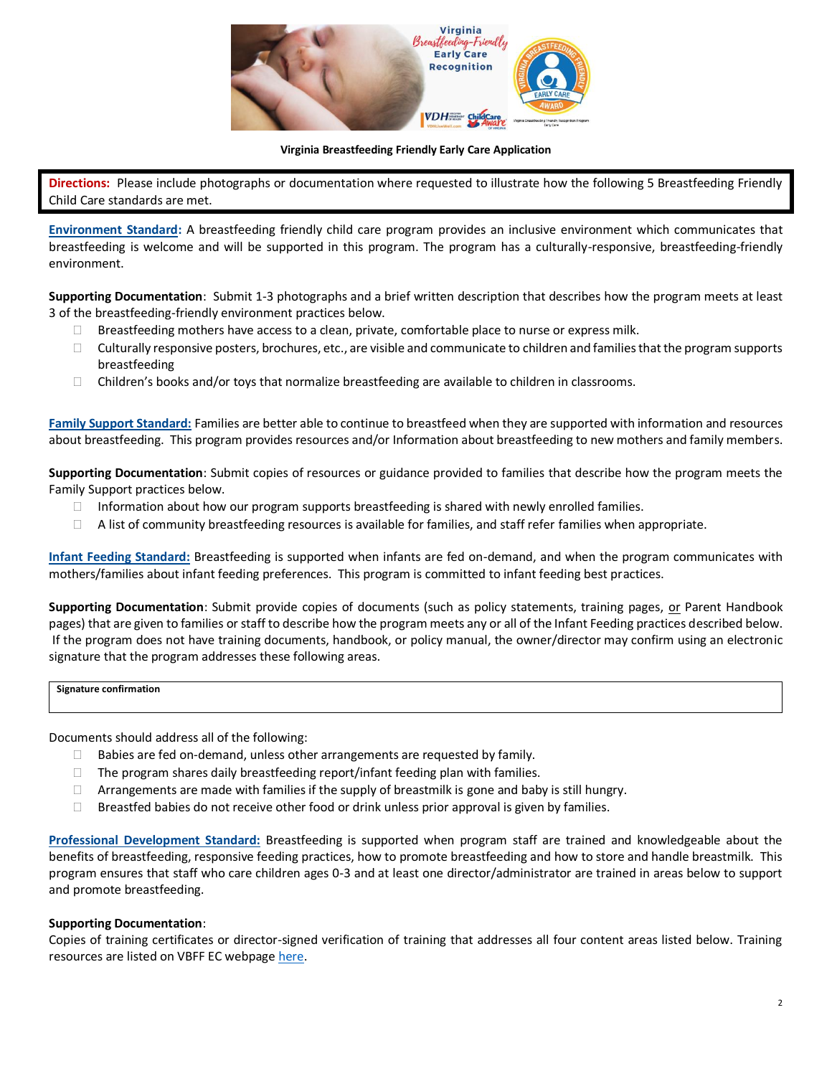

## **Virginia Breastfeeding Friendly Early Care Application**

**Directions:** Please include photographs or documentation where requested to illustrate how the following 5 Breastfeeding Friendly Child Care standards are met.

**Environment Standard:** A breastfeeding friendly child care program provides an inclusive environment which communicates that breastfeeding is welcome and will be supported in this program. The program has a culturally-responsive, breastfeeding-friendly environment.

**Supporting Documentation**: Submit 1-3 photographs and a brief written description that describes how the program meets at least 3 of the breastfeeding-friendly environment practices below.

- $\Box$  Breastfeeding mothers have access to a clean, private, comfortable place to nurse or express milk.
- $\Box$  Culturally responsive posters, brochures, etc., are visible and communicate to children and families that the program supports breastfeeding
- $\Box$  Children's books and/or toys that normalize breastfeeding are available to children in classrooms.

**Family Support Standard:** Families are better able to continue to breastfeed when they are supported with information and resources about breastfeeding. This program provides resources and/or Information about breastfeeding to new mothers and family members.

**Supporting Documentation**: Submit copies of resources or guidance provided to families that describe how the program meets the Family Support practices below.

- $\Box$  Information about how our program supports breastfeeding is shared with newly enrolled families.
- $\Box$  A list of community breastfeeding resources is available for families, and staff refer families when appropriate.

**Infant Feeding Standard:** Breastfeeding is supported when infants are fed on-demand, and when the program communicates with mothers/families about infant feeding preferences. This program is committed to infant feeding best practices.

**Supporting Documentation**: Submit provide copies of documents (such as policy statements, training pages, or Parent Handbook pages) that are given to families or staff to describe how the program meets any or all of the Infant Feeding practices described below. If the program does not have training documents, handbook, or policy manual, the owner/director may confirm using an electronic signature that the program addresses these following areas.

## **Signature confirmation**

Documents should address all of the following:

- $\Box$  Babies are fed on-demand, unless other arrangements are requested by family.
- $\Box$  The program shares daily breastfeeding report/infant feeding plan with families.
- $\Box$  Arrangements are made with families if the supply of breastmilk is gone and baby is still hungry.
- $\Box$  Breastfed babies do not receive other food or drink unless prior approval is given by families.

**Professional Development Standard:** Breastfeeding is supported when program staff are trained and knowledgeable about the benefits of breastfeeding, responsive feeding practices, how to promote breastfeeding and how to store and handle breastmilk. This program ensures that staff who care children ages 0-3 and at least one director/administrator are trained in areas below to support and promote breastfeeding.

## **Supporting Documentation**:

Copies of training certificates or director-signed verification of training that addresses all four content areas listed below. Training resources are listed on VBFF EC webpage [here.](https://vachildcare.com/child-care-providers/virginia-breastfeeding-friendly-early-care-recognition/resources/)